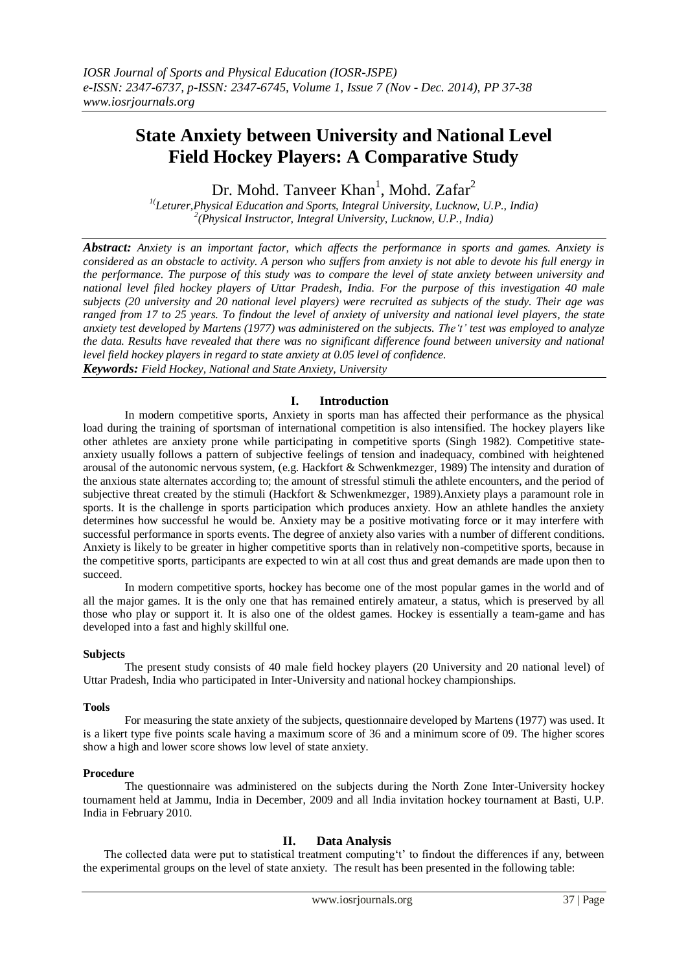# **State Anxiety between University and National Level Field Hockey Players: A Comparative Study**

Dr. Mohd. Tanveer Khan<sup>1</sup>, Mohd. Zafar<sup>2</sup>

*1(Leturer,Physical Education and Sports, Integral University, Lucknow, U.P., India) 2 (Physical Instructor, Integral University, Lucknow, U.P., India)*

*Abstract: Anxiety is an important factor, which affects the performance in sports and games. Anxiety is considered as an obstacle to activity. A person who suffers from anxiety is not able to devote his full energy in the performance. The purpose of this study was to compare the level of state anxiety between university and national level filed hockey players of Uttar Pradesh, India. For the purpose of this investigation 40 male subjects (20 university and 20 national level players) were recruited as subjects of the study. Their age was ranged from 17 to 25 years. To findout the level of anxiety of university and national level players, the state anxiety test developed by Martens (1977) was administered on the subjects. The't' test was employed to analyze the data. Results have revealed that there was no significant difference found between university and national level field hockey players in regard to state anxiety at 0.05 level of confidence. Keywords: Field Hockey, National and State Anxiety, University*

## **I. Introduction**

In modern competitive sports, Anxiety in sports man has affected their performance as the physical load during the training of sportsman of international competition is also intensified. The hockey players like other athletes are anxiety prone while participating in competitive sports (Singh 1982). Competitive stateanxiety usually follows a pattern of subjective feelings of tension and inadequacy, combined with heightened arousal of the autonomic nervous system, (e.g. Hackfort & Schwenkmezger, 1989) The intensity and duration of the anxious state alternates according to; the amount of stressful stimuli the athlete encounters, and the period of subjective threat created by the stimuli (Hackfort & Schwenkmezger, 1989).Anxiety plays a paramount role in sports. It is the challenge in sports participation which produces anxiety. How an athlete handles the anxiety determines how successful he would be. Anxiety may be a positive motivating force or it may interfere with successful performance in sports events. The degree of anxiety also varies with a number of different conditions. Anxiety is likely to be greater in higher competitive sports than in relatively non-competitive sports, because in the competitive sports, participants are expected to win at all cost thus and great demands are made upon then to succeed.

In modern competitive sports, hockey has become one of the most popular games in the world and of all the major games. It is the only one that has remained entirely amateur, a status, which is preserved by all those who play or support it. It is also one of the oldest games. Hockey is essentially a team-game and has developed into a fast and highly skillful one.

#### **Subjects**

The present study consists of 40 male field hockey players (20 University and 20 national level) of Uttar Pradesh, India who participated in Inter-University and national hockey championships.

#### **Tools**

For measuring the state anxiety of the subjects, questionnaire developed by Martens (1977) was used. It is a likert type five points scale having a maximum score of 36 and a minimum score of 09. The higher scores show a high and lower score shows low level of state anxiety.

#### **Procedure**

The questionnaire was administered on the subjects during the North Zone Inter-University hockey tournament held at Jammu, India in December, 2009 and all India invitation hockey tournament at Basti, U.P. India in February 2010.

## **II. Data Analysis**

The collected data were put to statistical treatment computing't' to findout the differences if any, between the experimental groups on the level of state anxiety. The result has been presented in the following table: